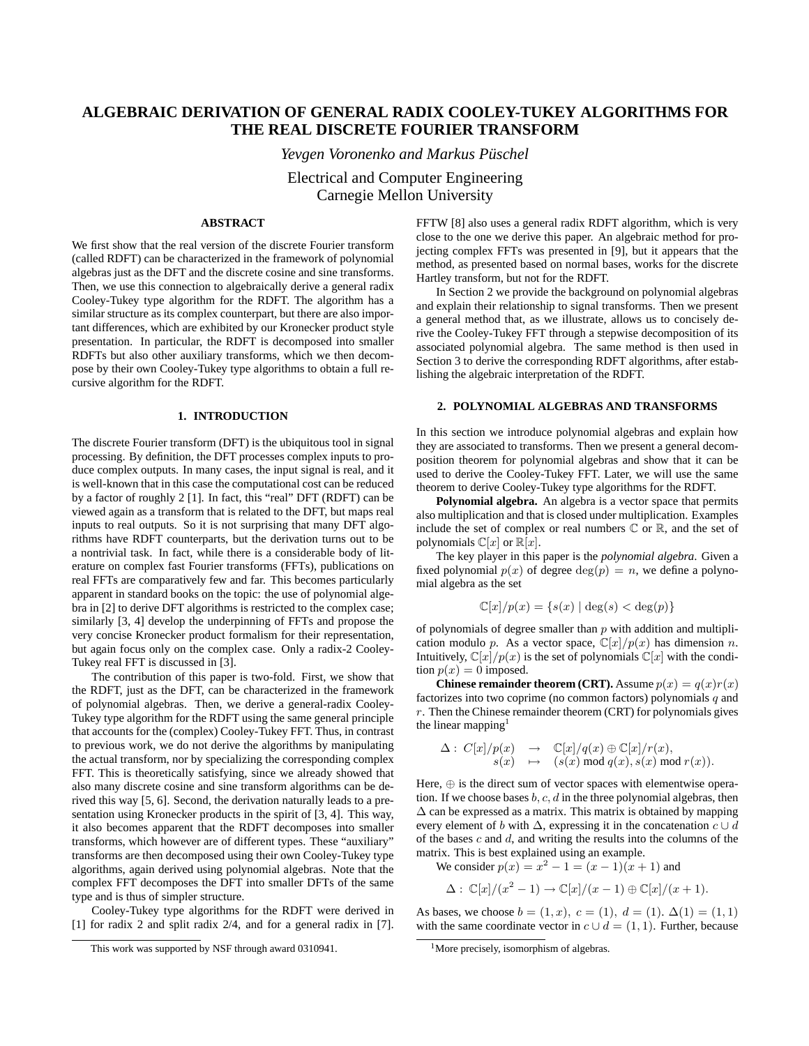# **ALGEBRAIC DERIVATION OF GENERAL RADIX COOLEY-TUKEY ALGORITHMS FOR THE REAL DISCRETE FOURIER TRANSFORM**

*Yevgen Voronenko and Markus Puschel ¨*

Electrical and Computer Engineering Carnegie Mellon University

#### **ABSTRACT**

We first show that the real version of the discrete Fourier transform (called RDFT) can be characterized in the framework of polynomial algebras just as the DFT and the discrete cosine and sine transforms. Then, we use this connection to algebraically derive a general radix Cooley-Tukey type algorithm for the RDFT. The algorithm has a similar structure as its complex counterpart, but there are also important differences, which are exhibited by our Kronecker product style presentation. In particular, the RDFT is decomposed into smaller RDFTs but also other auxiliary transforms, which we then decompose by their own Cooley-Tukey type algorithms to obtain a full recursive algorithm for the RDFT.

## **1. INTRODUCTION**

The discrete Fourier transform (DFT) is the ubiquitous tool in signal processing. By definition, the DFT processes complex inputs to produce complex outputs. In many cases, the input signal is real, and it is well-known that in this case the computational cost can be reduced by a factor of roughly 2 [1]. In fact, this "real" DFT (RDFT) can be viewed again as a transform that is related to the DFT, but maps real inputs to real outputs. So it is not surprising that many DFT algorithms have RDFT counterparts, but the derivation turns out to be a nontrivial task. In fact, while there is a considerable body of literature on complex fast Fourier transforms (FFTs), publications on real FFTs are comparatively few and far. This becomes particularly apparent in standard books on the topic: the use of polynomial algebra in [2] to derive DFT algorithms is restricted to the complex case; similarly [3, 4] develop the underpinning of FFTs and propose the very concise Kronecker product formalism for their representation, but again focus only on the complex case. Only a radix-2 Cooley-Tukey real FFT is discussed in [3].

The contribution of this paper is two-fold. First, we show that the RDFT, just as the DFT, can be characterized in the framework of polynomial algebras. Then, we derive a general-radix Cooley-Tukey type algorithm for the RDFT using the same general principle that accounts for the (complex) Cooley-Tukey FFT. Thus, in contrast to previous work, we do not derive the algorithms by manipulating the actual transform, nor by specializing the corresponding complex FFT. This is theoretically satisfying, since we already showed that also many discrete cosine and sine transform algorithms can be derived this way [5, 6]. Second, the derivation naturally leads to a presentation using Kronecker products in the spirit of [3, 4]. This way, it also becomes apparent that the RDFT decomposes into smaller transforms, which however are of different types. These "auxiliary" transforms are then decomposed using their own Cooley-Tukey type algorithms, again derived using polynomial algebras. Note that the complex FFT decomposes the DFT into smaller DFTs of the same type and is thus of simpler structure.

Cooley-Tukey type algorithms for the RDFT were derived in [1] for radix 2 and split radix 2/4, and for a general radix in [7].

FFTW [8] also uses a general radix RDFT algorithm, which is very close to the one we derive this paper. An algebraic method for projecting complex FFTs was presented in [9], but it appears that the method, as presented based on normal bases, works for the discrete Hartley transform, but not for the RDFT.

In Section 2 we provide the background on polynomial algebras and explain their relationship to signal transforms. Then we present a general method that, as we illustrate, allows us to concisely derive the Cooley-Tukey FFT through a stepwise decomposition of its associated polynomial algebra. The same method is then used in Section 3 to derive the corresponding RDFT algorithms, after establishing the algebraic interpretation of the RDFT.

## **2. POLYNOMIAL ALGEBRAS AND TRANSFORMS**

In this section we introduce polynomial algebras and explain how they are associated to transforms. Then we present a general decomposition theorem for polynomial algebras and show that it can be used to derive the Cooley-Tukey FFT. Later, we will use the same theorem to derive Cooley-Tukey type algorithms for the RDFT.

**Polynomial algebra.** An algebra is a vector space that permits also multiplication and that is closed under multiplication. Examples include the set of complex or real numbers  $\mathbb C$  or  $\mathbb R$ , and the set of polynomials  $\mathbb{C}[x]$  or  $\mathbb{R}[x]$ .

The key player in this paper is the *polynomial algebra*. Given a fixed polynomial  $p(x)$  of degree  $\deg(p) = n$ , we define a polynomial algebra as the set

$$
\mathbb{C}[x]/p(x) = \{s(x) \mid \deg(s) < \deg(p)\}
$$

of polynomials of degree smaller than  $p$  with addition and multiplication modulo p. As a vector space,  $\mathbb{C}[x]/p(x)$  has dimension n. Intuitively,  $\mathbb{C}[x]/p(x)$  is the set of polynomials  $\mathbb{C}[x]$  with the condition  $p(x) = 0$  imposed.

**Chinese remainder theorem (CRT).** Assume  $p(x) = q(x)r(x)$ factorizes into two coprime (no common factors) polynomials  $q$  and  $r$ . Then the Chinese remainder theorem (CRT) for polynomials gives the linear mapping $<sup>1</sup>$ </sup>

$$
\begin{array}{rcl}\Delta: &C[x]/p(x) &\longrightarrow &\mathbb{C}[x]/q(x)\oplus\mathbb{C}[x]/r(x),\\ &s(x) &\mapsto &(s(x) \bmod q(x),s(x) \bmod r(x)).\end{array}
$$

Here,  $\oplus$  is the direct sum of vector spaces with elementwise operation. If we choose bases  $b, c, d$  in the three polynomial algebras, then  $\Delta$  can be expressed as a matrix. This matrix is obtained by mapping every element of b with  $\Delta$ , expressing it in the concatenation  $c \cup d$ of the bases  $c$  and  $d$ , and writing the results into the columns of the matrix. This is best explained using an example.

We consider  $p(x) = x^2 - 1 = (x - 1)(x + 1)$  and

$$
\Delta: \mathbb{C}[x]/(x^2-1) \to \mathbb{C}[x]/(x-1) \oplus \mathbb{C}[x]/(x+1).
$$

As bases, we choose  $b = (1, x), c = (1), d = (1)$ .  $\Delta(1) = (1, 1)$ with the same coordinate vector in  $c \cup d = (1, 1)$ . Further, because

This work was supported by NSF through award 0310941.

<sup>&</sup>lt;sup>1</sup>More precisely, isomorphism of algebras.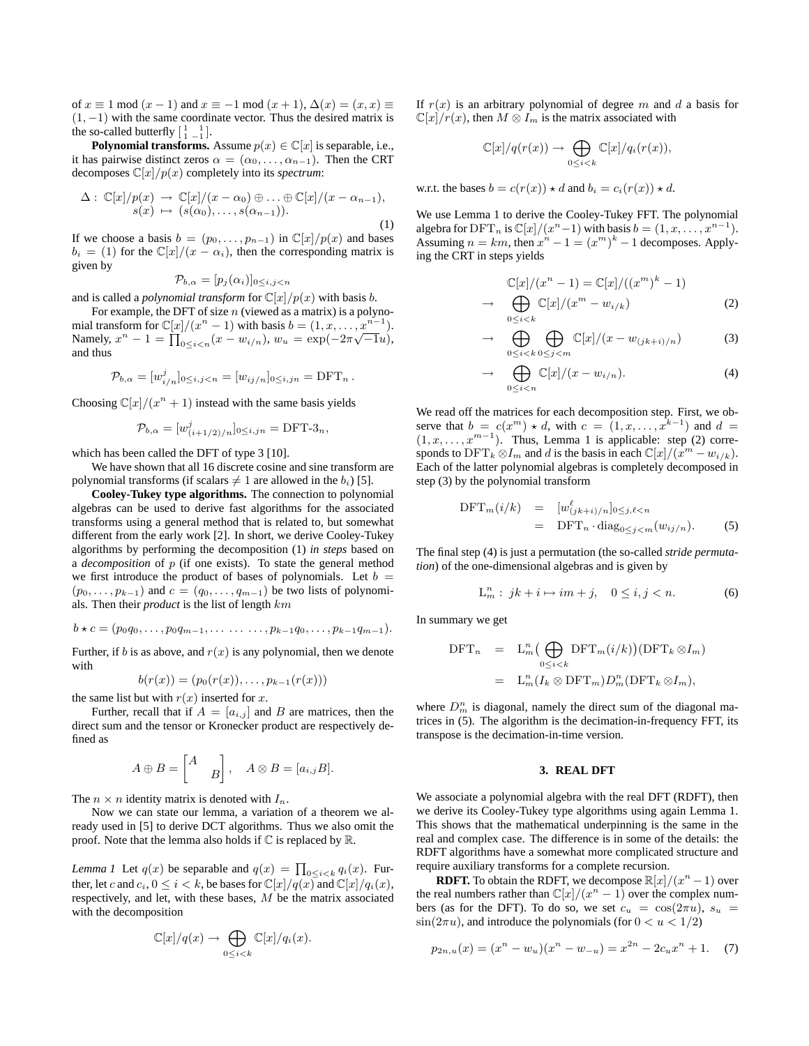of  $x \equiv 1 \mod (x - 1)$  and  $x \equiv -1 \mod (x + 1)$ ,  $\Delta(x) = (x, x) \equiv$  $(1, -1)$  with the same coordinate vector. Thus the desired matrix is the so-called butterfly  $\begin{bmatrix} 1 & 1 \\ 1 & -1 \end{bmatrix}$ .

**Polynomial transforms.** Assume  $p(x) \in \mathbb{C}[x]$  is separable, i.e., it has pairwise distinct zeros  $\alpha = (\alpha_0, \ldots, \alpha_{n-1})$ . Then the CRT decomposes  $\mathbb{C}[x]/p(x)$  completely into its *spectrum*:

$$
\Delta: \mathbb{C}[x]/p(x) \to \mathbb{C}[x]/(x - \alpha_0) \oplus \ldots \oplus \mathbb{C}[x]/(x - \alpha_{n-1}),
$$
  

$$
s(x) \mapsto (s(\alpha_0), \ldots, s(\alpha_{n-1})).
$$
 (1)

If we choose a basis  $b = (p_0, \ldots, p_{n-1})$  in  $\mathbb{C}[x]/p(x)$  and bases  $b_i = (1)$  for the  $\mathbb{C}[x]/(x - \alpha_i)$ , then the corresponding matrix is given by

$$
\mathcal{P}_{b,\alpha}=[p_j(\alpha_i)]_{0\leq i,j
$$

and is called a *polynomial transform* for  $\mathbb{C}[x]/p(x)$  with basis *b*.

For example, the DFT of size  $n$  (viewed as a matrix) is a polynomial transform for  $\mathbb{C}[x]/(x^n - 1)$  with basis  $b = (1, x, ..., x^{n-1}).$ Namely,  $x^{n} - 1 = \prod_{0 \le i < n} (x - w_{i/n}), w_{u} = \exp(-2\pi\sqrt{-1}u),$ and thus

$$
\mathcal{P}_{b,\alpha} = [w_{i/n}^j]_{0 \le i,j < n} = [w_{ij/n}]_{0 \le i,jn} = \text{DFT}_n \, .
$$

Choosing  $\mathbb{C}[x]/(x^n + 1)$  instead with the same basis yields

$$
\mathcal{P}_{b,\alpha} = [w^j_{(i+1/2)/n}]_{0 \le i,jn} = \text{DFT-3}_n,
$$

which has been called the DFT of type 3 [10].

We have shown that all 16 discrete cosine and sine transform are polynomial transforms (if scalars  $\neq 1$  are allowed in the  $b_i$ ) [5].

**Cooley-Tukey type algorithms.** The connection to polynomial algebras can be used to derive fast algorithms for the associated transforms using a general method that is related to, but somewhat different from the early work [2]. In short, we derive Cooley-Tukey algorithms by performing the decomposition (1) *in steps* based on a *decomposition* of p (if one exists). To state the general method we first introduce the product of bases of polynomials. Let  $b =$  $(p_0, \ldots, p_{k-1})$  and  $c = (q_0, \ldots, q_{m-1})$  be two lists of polynomials. Then their *product* is the list of length km

$$
b \star c = (p_0 q_0, \ldots, p_0 q_{m-1}, \ldots \ldots \ldots, p_{k-1} q_0, \ldots, p_{k-1} q_{m-1}).
$$

Further, if b is as above, and  $r(x)$  is any polynomial, then we denote with

$$
b(r(x)) = (p_0(r(x)), \ldots, p_{k-1}(r(x)))
$$

the same list but with  $r(x)$  inserted for x.

Further, recall that if  $A = [a_{i,j}]$  and B are matrices, then the direct sum and the tensor or Kronecker product are respectively defined as

$$
A \oplus B = \begin{bmatrix} A \\ & B \end{bmatrix}, \quad A \otimes B = [a_{i,j}B].
$$

The  $n \times n$  identity matrix is denoted with  $I_n$ .

Now we can state our lemma, a variation of a theorem we already used in [5] to derive DCT algorithms. Thus we also omit the proof. Note that the lemma also holds if C is replaced by R.

*Lemma 1* Let  $q(x)$  be separable and  $q(x) = \prod_{0 \le i \le k} q_i(x)$ . Further, let c and  $c_i$ ,  $0 \le i < k$ , be bases for  $\mathbb{C}[x]/q(x)$  and  $\mathbb{C}[x]/q_i(x)$ , respectively, and let, with these bases, M be the matrix associated with the decomposition

$$
\mathbb{C}[x]/q(x) \to \bigoplus_{0 \leq i < k} \mathbb{C}[x]/q_i(x).
$$

If  $r(x)$  is an arbitrary polynomial of degree m and d a basis for  $\mathbb{C}[x]/r(x)$ , then  $M \otimes I_m$  is the matrix associated with

$$
\mathbb{C}[x]/q(r(x)) \to \bigoplus_{0 \leq i < k} \mathbb{C}[x]/q_i(r(x)),
$$

w.r.t. the bases  $b = c(r(x)) \star d$  and  $b_i = c_i(r(x)) \star d$ .

We use Lemma 1 to derive the Cooley-Tukey FFT. The polynomial algebra for  $\text{DFT}_n$  is  $\mathbb{C}[x]/(x^n-1)$  with basis  $b = (1, x, \dots, x^{n-1})$ . Assuming  $n = km$ , then  $x^n - 1 = (x^m)^k - 1$  decomposes. Applying the CRT in steps yields

$$
\mathbb{C}[x]/(x^n - 1) = \mathbb{C}[x]/((x^m)^k - 1)
$$
  
\n
$$
\rightarrow \bigoplus_{0 \le i < k} \mathbb{C}[x]/(x^m - w_{i/k}) \tag{2}
$$

$$
\rightarrow \bigoplus_{0 \le i < k} \bigoplus_{0 \le j < m} \mathbb{C}[x] / (x - w_{(jk+i)/n}) \tag{3}
$$

$$
\rightarrow \bigoplus_{0 \leq i < n} \mathbb{C}[x]/(x - w_{i/n}). \tag{4}
$$

We read off the matrices for each decomposition step. First, we observe that  $b = c(x^m) \star d$ , with  $c = (1, x, \ldots, x^{k-1})$  and  $d =$  $(1, x, \ldots, x^{m-1})$ . Thus, Lemma 1 is applicable: step (2) corresponds to  $\text{DFT}_k \otimes I_m$  and d is the basis in each  $\mathbb{C}[x]/(x^m - w_{i/k})$ . Each of the latter polynomial algebras is completely decomposed in step (3) by the polynomial transform

$$
\begin{array}{rcl}\n\text{DFT}_m(i/k) & = & [w_{(jk+i)/n}^{\ell}]_{0 \le j,\ell < n} \\
& = & \text{DFT}_n \cdot \text{diag}_{0 \le j < m}(w_{ij/n}).\n\end{array} \tag{5}
$$

The final step (4) is just a permutation (the so-called *stride permutation*) of the one-dimensional algebras and is given by

$$
L_m^n: jk + i \mapsto im + j, \quad 0 \le i, j < n. \tag{6}
$$

In summary we get

$$
DFT_n = L_m^n \left( \bigoplus_{0 \le i < k} DFT_m(i/k) \right) (DFT_k \otimes I_m)
$$
  
= 
$$
L_m^n (I_k \otimes DFT_m) D_m^n (DFT_k \otimes I_m),
$$

where  $D_m^n$  is diagonal, namely the direct sum of the diagonal matrices in (5). The algorithm is the decimation-in-frequency FFT, its transpose is the decimation-in-time version.

#### **3. REAL DFT**

We associate a polynomial algebra with the real DFT (RDFT), then we derive its Cooley-Tukey type algorithms using again Lemma 1. This shows that the mathematical underpinning is the same in the real and complex case. The difference is in some of the details: the RDFT algorithms have a somewhat more complicated structure and require auxiliary transforms for a complete recursion.

**RDFT.** To obtain the RDFT, we decompose  $\mathbb{R}[x]/(x^n - 1)$  over the real numbers rather than  $\mathbb{C}[x]/(x^n - 1)$  over the complex numbers (as for the DFT). To do so, we set  $c_u = \cos(2\pi u)$ ,  $s_u =$  $\sin(2\pi u)$ , and introduce the polynomials (for  $0 < u < 1/2$ )

$$
p_{2n,u}(x) = (x^n - w_u)(x^n - w_{-u}) = x^{2n} - 2c_u x^n + 1.
$$
 (7)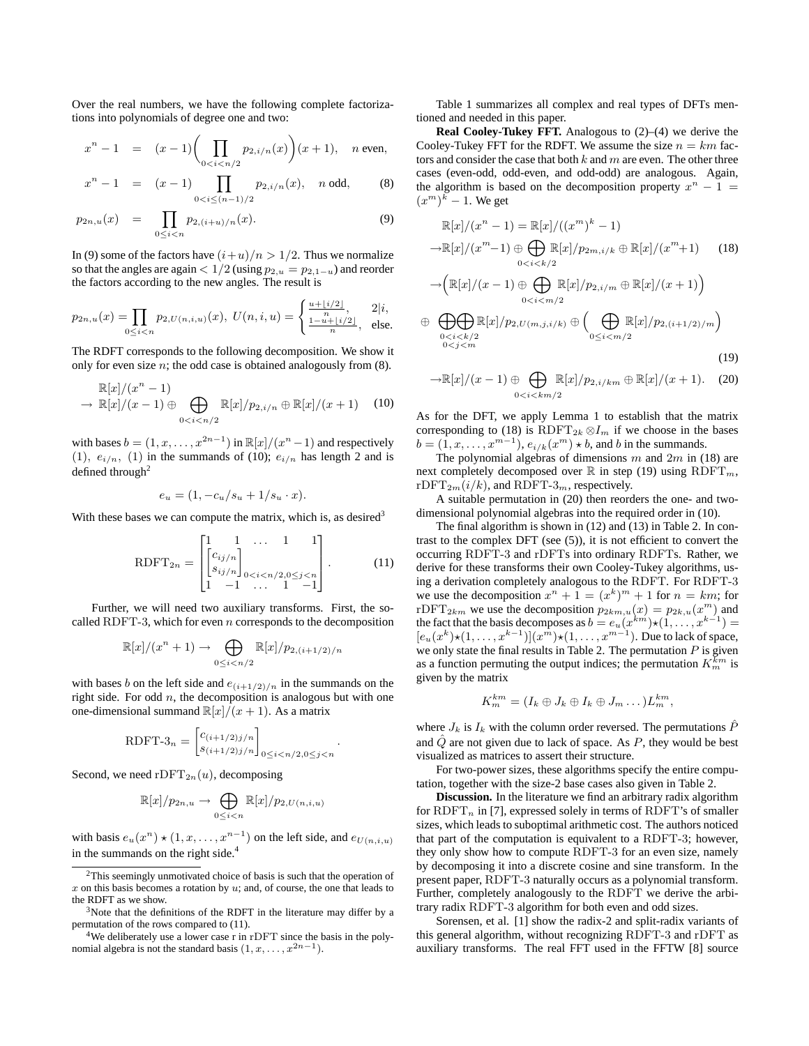Over the real numbers, we have the following complete factorizations into polynomials of degree one and two:

$$
x^{n} - 1 = (x - 1) \left( \prod_{0 < i < n/2} p_{2, i/n}(x) \right) (x + 1), \quad n \text{ even},
$$

$$
x^{n} - 1 = (x - 1) \prod_{0 < i \leq (n-1)/2} p_{2,i/n}(x), \quad n \text{ odd}, \quad (8)
$$

$$
p_{2n,u}(x) = \prod_{0 \le i < n} p_{2,(i+u)/n}(x). \tag{9}
$$

In (9) some of the factors have  $(i+u)/n > 1/2$ . Thus we normalize so that the angles are again  $< 1/2$  (using  $p_{2,u} = p_{2,1-u}$ ) and reorder the factors according to the new angles. The result is

$$
p_{2n,u}(x) = \prod_{0 \le i < n} p_{2,U(n,i,u)}(x), \ U(n,i,u) = \begin{cases} \frac{u + \lfloor i/2 \rfloor}{n}, & 2|i, \\ \frac{1 - u + \lfloor i/2 \rfloor}{n}, & \text{else.} \end{cases}
$$

The RDFT corresponds to the following decomposition. We show it only for even size  $n$ ; the odd case is obtained analogously from  $(8)$ .

$$
\mathbb{R}[x]/(x^n - 1)
$$
  
\n
$$
\rightarrow \mathbb{R}[x]/(x - 1) \oplus \bigoplus_{0 < i < n/2} \mathbb{R}[x]/p_{2,i/n} \oplus \mathbb{R}[x]/(x + 1) \quad (10)
$$

with bases  $b = (1, x, ..., x^{2n-1})$  in  $\mathbb{R}[x]/(x^n - 1)$  and respectively (1),  $e_{i/n}$ , (1) in the summands of (10);  $e_{i/n}$  has length 2 and is defined through<sup>2</sup>

$$
e_u = (1, -c_u/s_u + 1/s_u \cdot x).
$$

With these bases we can compute the matrix, which is, as desired<sup>3</sup>

$$
R\text{DFT}_{2n} = \begin{bmatrix} 1 & 1 & \cdots & 1 & 1 \\ \begin{bmatrix} c_{ij/n} \\ s_{ij/n} \end{bmatrix} & & & \\ 1 & -1 & \cdots & 1 & -1 \end{bmatrix} . \tag{11}
$$

Further, we will need two auxiliary transforms. First, the socalled RDFT-3, which for even  $n$  corresponds to the decomposition

$$
\mathbb{R}[x]/(x^n+1) \to \bigoplus_{0 \le i < n/2} \mathbb{R}[x]/p_{2,(i+1/2)/n}
$$

with bases b on the left side and  $e_{(i+1/2)/n}$  in the summands on the right side. For odd  $n$ , the decomposition is analogous but with one one-dimensional summand  $\mathbb{R}[x]/(x+1)$ . As a matrix

RDFT-3<sub>n</sub> = 
$$
\begin{bmatrix} c_{(i+1/2)j/n} \\ s_{(i+1/2)j/n} \end{bmatrix}_{0 \le i < n/2, 0 \le j < n}.
$$

Second, we need  $\mathrm{rDFT}_{2n}(u)$ , decomposing

$$
\mathbb{R}[x]/p_{2n,u} \to \bigoplus_{0 \leq i < n} \mathbb{R}[x]/p_{2,U(n,i,u)}
$$

with basis  $e_u(x^n) \star (1, x, \dots, x^{n-1})$  on the left side, and  $e_{U(n,i,u)}$ in the summands on the right side.<sup>4</sup>

Table 1 summarizes all complex and real types of DFTs mentioned and needed in this paper.

**Real Cooley-Tukey FFT.** Analogous to (2)–(4) we derive the Cooley-Tukey FFT for the RDFT. We assume the size  $n = km$  factors and consider the case that both  $k$  and  $m$  are even. The other three cases (even-odd, odd-even, and odd-odd) are analogous. Again, the algorithm is based on the decomposition property  $x^n - 1 =$  $(x^m)^k - 1$ . We get

$$
\mathbb{R}[x]/(x^n - 1) = \mathbb{R}[x]/((x^m)^k - 1)
$$
  
\n
$$
\rightarrow \mathbb{R}[x]/(x^m - 1) \oplus \bigoplus_{0 < i < k/2} \mathbb{R}[x]/p_{2m, i/k} \oplus \mathbb{R}[x]/(x^m + 1) \quad (18)
$$
  
\n
$$
\rightarrow \left(\mathbb{R}[x]/(x - 1) \oplus \bigoplus_{0 < i < m/2} \mathbb{R}[x]/p_{2, i/m} \oplus \mathbb{R}[x]/(x + 1)\right)
$$
  
\n
$$
\oplus \bigoplus_{0 < i < k/2} \mathbb{R}[x]/p_{2, U(m, j, i/k)} \oplus \left(\bigoplus_{0 \leq i < m/2} \mathbb{R}[x]/p_{2, (i+1/2)/m}\right)
$$
  
\n(19)

$$
\mathbb{R}[x]/(x-1) \oplus \bigoplus_{0 < i < km/2} \mathbb{R}[x]/p_{2,i/km} \oplus \mathbb{R}[x]/(x+1). \tag{20}
$$

As for the DFT, we apply Lemma 1 to establish that the matrix corresponding to (18) is RDFT<sub>2k</sub>  $\otimes I_m$  if we choose in the bases  $b = (1, x, \dots, x^{m-1}), e_{i/k}(x^m) \star b$ , and b in the summands.

The polynomial algebras of dimensions  $m$  and  $2m$  in (18) are next completely decomposed over  $\mathbb R$  in step (19) using  $\text{RDFT}_m$ ,  $rDFT_{2m}(i/k)$ , and RDFT-3<sub>m</sub>, respectively.

A suitable permutation in (20) then reorders the one- and twodimensional polynomial algebras into the required order in (10).

The final algorithm is shown in (12) and (13) in Table 2. In contrast to the complex DFT (see (5)), it is not efficient to convert the occurring RDFT-3 and rDFTs into ordinary RDFTs. Rather, we derive for these transforms their own Cooley-Tukey algorithms, using a derivation completely analogous to the RDFT. For RDFT-3 we use the decomposition  $x^n + 1 = (x^k)^m + 1$  for  $n = km$ ; for rDFT<sub>2km</sub> we use the decomposition  $p_{2km,u}(x) = p_{2k,u}(x^m)$  and the fact that the basis decomposes as  $b = e_u(x^{km}) \star (1, \ldots, x^{k-1}) =$  $[e_u(x^k)\star(1,\ldots,x^{k-1})](x^m)\star(1,\ldots,x^{m-1})$ . Due to lack of space, we only state the final results in Table 2. The permutation  $P$  is given as a function permuting the output indices; the permutation  $K_m^{km}$  is given by the matrix

$$
K_m^{km} = (I_k \oplus J_k \oplus I_k \oplus J_m \dots) L_m^{km},
$$

where  $J_k$  is  $I_k$  with the column order reversed. The permutations  $\ddot{P}$ and  $\hat{Q}$  are not given due to lack of space. As P, they would be best visualized as matrices to assert their structure.

For two-power sizes, these algorithms specify the entire computation, together with the size-2 base cases also given in Table 2.

**Discussion.** In the literature we find an arbitrary radix algorithm for  $R\text{DFT}_n$  in [7], expressed solely in terms of  $R\text{DFT}$ 's of smaller sizes, which leads to suboptimal arithmetic cost. The authors noticed that part of the computation is equivalent to a RDFT-3; however, they only show how to compute RDFT-3 for an even size, namely by decomposing it into a discrete cosine and sine transform. In the present paper, RDFT-3 naturally occurs as a polynomial transform. Further, completely analogously to the RDFT we derive the arbitrary radix RDFT-3 algorithm for both even and odd sizes.

Sorensen, et al. [1] show the radix-2 and split-radix variants of this general algorithm, without recognizing RDFT-3 and rDFT as auxiliary transforms. The real FFT used in the FFTW [8] source

 $2$ This seemingly unmotivated choice of basis is such that the operation of  $x$  on this basis becomes a rotation by  $u$ ; and, of course, the one that leads to the RDFT as we show.

 $3$ Note that the definitions of the RDFT in the literature may differ by a permutation of the rows compared to (11).

 $4$ We deliberately use a lower case r in rDFT since the basis in the polynomial algebra is not the standard basis  $(1, x, \ldots, x^{2n-1})$ .